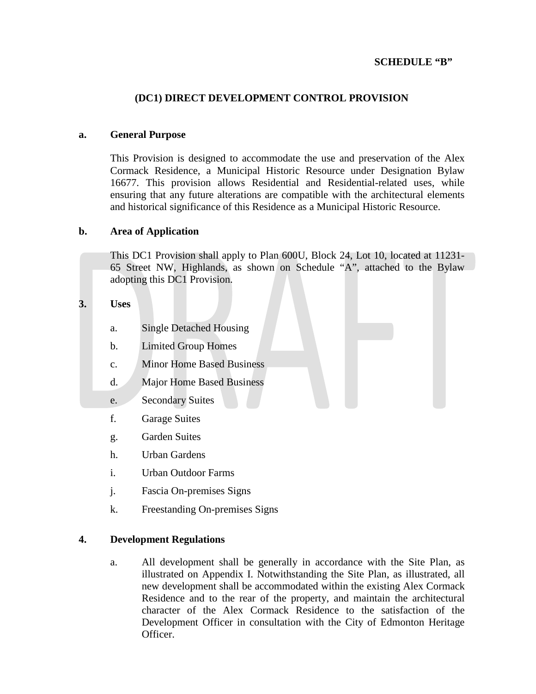# **SCHEDULE "B"**

## **(DC1) DIRECT DEVELOPMENT CONTROL PROVISION**

#### **a. General Purpose**

This Provision is designed to accommodate the use and preservation of the Alex Cormack Residence, a Municipal Historic Resource under Designation Bylaw 16677. This provision allows Residential and Residential-related uses, while ensuring that any future alterations are compatible with the architectural elements and historical significance of this Residence as a Municipal Historic Resource.

### **b. Area of Application**

This DC1 Provision shall apply to Plan 600U, Block 24, Lot 10, located at 11231- 65 Street NW, Highlands, as shown on Schedule "A", attached to the Bylaw adopting this DC1 Provision.

### **3. Uses**

- a. Single Detached Housing
- b. Limited Group Homes
- c. Minor Home Based Business
- d. Major Home Based Business
- e. Secondary Suites
- f. Garage Suites
- g. Garden Suites
- h. Urban Gardens
- i. Urban Outdoor Farms
- j. Fascia On-premises Signs
- k. Freestanding On-premises Signs

#### **4. Development Regulations**

a. All development shall be generally in accordance with the Site Plan, as illustrated on Appendix I. Notwithstanding the Site Plan, as illustrated, all new development shall be accommodated within the existing Alex Cormack Residence and to the rear of the property, and maintain the architectural character of the Alex Cormack Residence to the satisfaction of the Development Officer in consultation with the City of Edmonton Heritage Officer.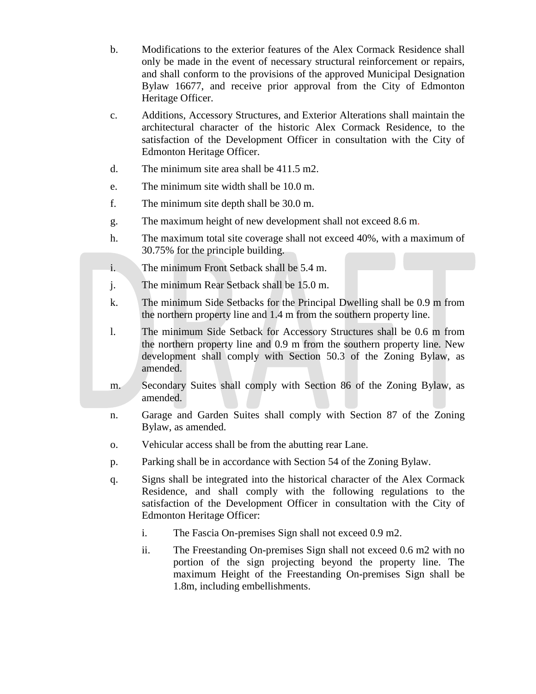- b. Modifications to the exterior features of the Alex Cormack Residence shall only be made in the event of necessary structural reinforcement or repairs, and shall conform to the provisions of the approved Municipal Designation Bylaw 16677, and receive prior approval from the City of Edmonton Heritage Officer.
- c. Additions, Accessory Structures, and Exterior Alterations shall maintain the architectural character of the historic Alex Cormack Residence, to the satisfaction of the Development Officer in consultation with the City of Edmonton Heritage Officer.
- d. The minimum site area shall be 411.5 m2.
- e. The minimum site width shall be 10.0 m.
- f. The minimum site depth shall be 30.0 m.
- g. The maximum height of new development shall not exceed 8.6 m.
- h. The maximum total site coverage shall not exceed 40%, with a maximum of 30.75% for the principle building.
- i. The minimum Front Setback shall be 5.4 m.
- j. The minimum Rear Setback shall be 15.0 m.
- k. The minimum Side Setbacks for the Principal Dwelling shall be 0.9 m from the northern property line and 1.4 m from the southern property line.
- l. The minimum Side Setback for Accessory Structures shall be 0.6 m from the northern property line and 0.9 m from the southern property line. New development shall comply with Section 50.3 of the Zoning Bylaw, as amended.
- m. Secondary Suites shall comply with Section 86 of the Zoning Bylaw, as amended.
- n. Garage and Garden Suites shall comply with Section 87 of the Zoning Bylaw, as amended.
- o. Vehicular access shall be from the abutting rear Lane.
- p. Parking shall be in accordance with Section 54 of the Zoning Bylaw.
- q. Signs shall be integrated into the historical character of the Alex Cormack Residence, and shall comply with the following regulations to the satisfaction of the Development Officer in consultation with the City of Edmonton Heritage Officer:
	- i. The Fascia On-premises Sign shall not exceed 0.9 m2.
	- ii. The Freestanding On-premises Sign shall not exceed 0.6 m2 with no portion of the sign projecting beyond the property line. The maximum Height of the Freestanding On-premises Sign shall be 1.8m, including embellishments.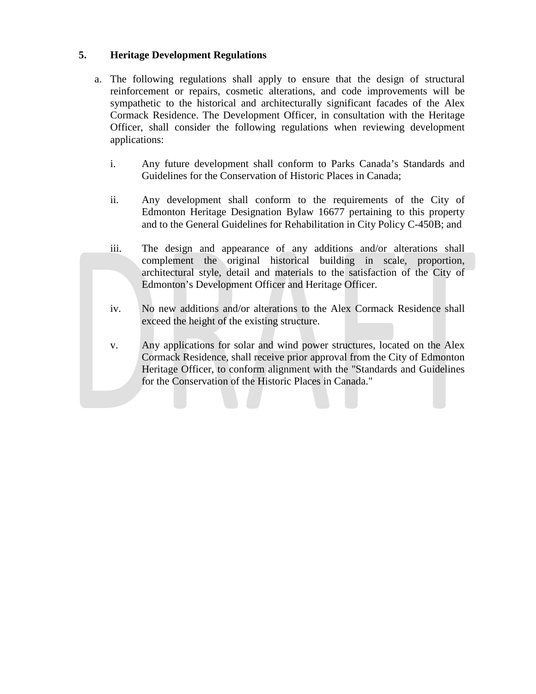# **5. Heritage Development Regulations**

- a. The following regulations shall apply to ensure that the design of structural reinforcement or repairs, cosmetic alterations, and code improvements will be sympathetic to the historical and architecturally significant facades of the Alex Cormack Residence. The Development Officer, in consultation with the Heritage Officer, shall consider the following regulations when reviewing development applications:
	- i. Any future development shall conform to Parks Canada's Standards and Guidelines for the Conservation of Historic Places in Canada;
	- ii. Any development shall conform to the requirements of the City of Edmonton Heritage Designation Bylaw 16677 pertaining to this property and to the General Guidelines for Rehabilitation in City Policy C-450B; and
	- iii. The design and appearance of any additions and/or alterations shall complement the original historical building in scale, proportion, architectural style, detail and materials to the satisfaction of the City of Edmonton's Development Officer and Heritage Officer.
	- iv. No new additions and/or alterations to the Alex Cormack Residence shall exceed the height of the existing structure.
	- v. Any applications for solar and wind power structures, located on the Alex Cormack Residence, shall receive prior approval from the City of Edmonton Heritage Officer, to conform alignment with the "Standards and Guidelines for the Conservation of the Historic Places in Canada."